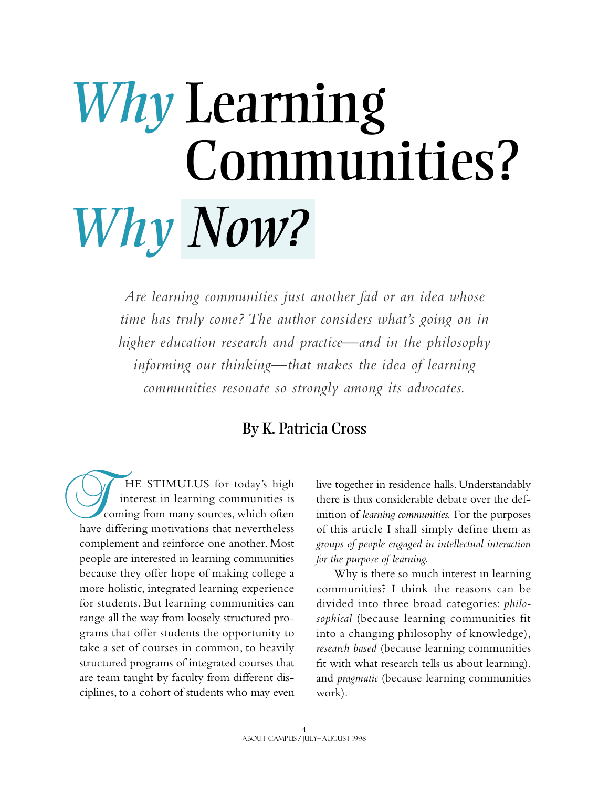# *Why* Learning Communities? *Why Now?*

*Are learning communities just another fad or an idea whose time has truly come? The author considers what's going on in higher education research and practice—and in the philosophy informing our thinking—that makes the idea of learning communities resonate so strongly among its advocates.*

### By K. Patricia Cross

HE STIMULUS for today's high interest in learning communities is coming from many sources, which often have differing motivations that nevertheless complement and reinforce one another. Most people are interested in learning communities because they offer hope of making college a more holistic, integrated learning experience for students. But learning communities can range all the way from loosely structured programs that offer students the opportunity to take a set of courses in common, to heavily structured programs of integrated courses that are team taught by faculty from different disciplines, to a cohort of students who may even **OV** is compared in the set of the set of the set of the set of the set of the set of the set of the set of the set of the set of the set of the set of the set of the set of the set of the set of the set of the set of the

live together in residence halls. Understandably there is thus considerable debate over the definition of *learning communities.* For the purposes of this article I shall simply define them as *groups of people engaged in intellectual interaction for the purpose of learning.*

Why is there so much interest in learning communities? I think the reasons can be divided into three broad categories: *philosophical* (because learning communities fit into a changing philosophy of knowledge), *research based* (because learning communities fit with what research tells us about learning), and *pragmatic* (because learning communities work).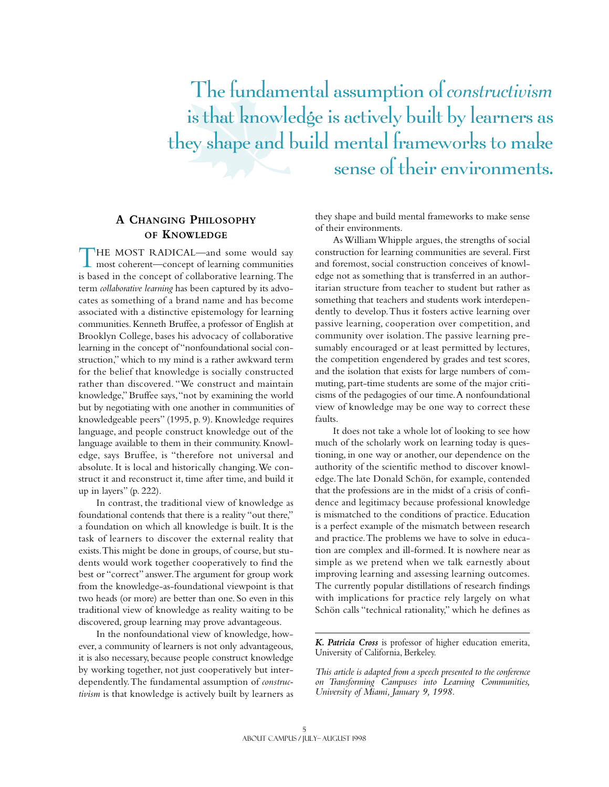## The fundam<br>is that knowle<br>hey shape and l The fundamental assumption of *constructivism* is that knowledge is actively built by learners as they shape and build mental frameworks to make sense of their environments.

#### **A CHANGING PHILOSOPHY OF KNOWLEDGE**

THE MOST RADICAL—and some would say most coherent—concept of learning communities is based in the concept of collaborative learning.The term *collaborative learning* has been captured by its advocates as something of a brand name and has become associated with a distinctive epistemology for learning communities. Kenneth Bruffee, a professor of English at Brooklyn College, bases his advocacy of collaborative learning in the concept of "nonfoundational social construction," which to my mind is a rather awkward term for the belief that knowledge is socially constructed rather than discovered. "We construct and maintain knowledge," Bruffee says,"not by examining the world but by negotiating with one another in communities of knowledgeable peers" (1995, p. 9). Knowledge requires language, and people construct knowledge out of the language available to them in their community. Knowledge, says Bruffee, is "therefore not universal and absolute. It is local and historically changing.We construct it and reconstruct it, time after time, and build it up in layers" (p. 222).

In contrast, the traditional view of knowledge as foundational contends that there is a reality "out there," a foundation on which all knowledge is built. It is the task of learners to discover the external reality that exists.This might be done in groups, of course, but students would work together cooperatively to find the best or "correct" answer.The argument for group work from the knowledge-as-foundational viewpoint is that two heads (or more) are better than one. So even in this traditional view of knowledge as reality waiting to be discovered, group learning may prove advantageous.

In the nonfoundational view of knowledge, however, a community of learners is not only advantageous, it is also necessary, because people construct knowledge by working together, not just cooperatively but interdependently.The fundamental assumption of *constructivism* is that knowledge is actively built by learners as they shape and build mental frameworks to make sense of their environments.

As William Whipple argues, the strengths of social construction for learning communities are several. First and foremost, social construction conceives of knowledge not as something that is transferred in an authoritarian structure from teacher to student but rather as something that teachers and students work interdependently to develop.Thus it fosters active learning over passive learning, cooperation over competition, and community over isolation.The passive learning presumably encouraged or at least permitted by lectures, the competition engendered by grades and test scores, and the isolation that exists for large numbers of commuting, part-time students are some of the major criticisms of the pedagogies of our time.A nonfoundational view of knowledge may be one way to correct these faults.

It does not take a whole lot of looking to see how much of the scholarly work on learning today is questioning, in one way or another, our dependence on the authority of the scientific method to discover knowledge.The late Donald Schön, for example, contended that the professions are in the midst of a crisis of confidence and legitimacy because professional knowledge is mismatched to the conditions of practice. Education is a perfect example of the mismatch between research and practice.The problems we have to solve in education are complex and ill-formed. It is nowhere near as simple as we pretend when we talk earnestly about improving learning and assessing learning outcomes. The currently popular distillations of research findings with implications for practice rely largely on what Schön calls "technical rationality," which he defines as

*K. Patricia Cross* is professor of higher education emerita, University of California, Berkeley.

*This article is adapted from a speech presented to the conference on Transforming Campuses into Learning Communities, University of Miami, January 9, 1998.*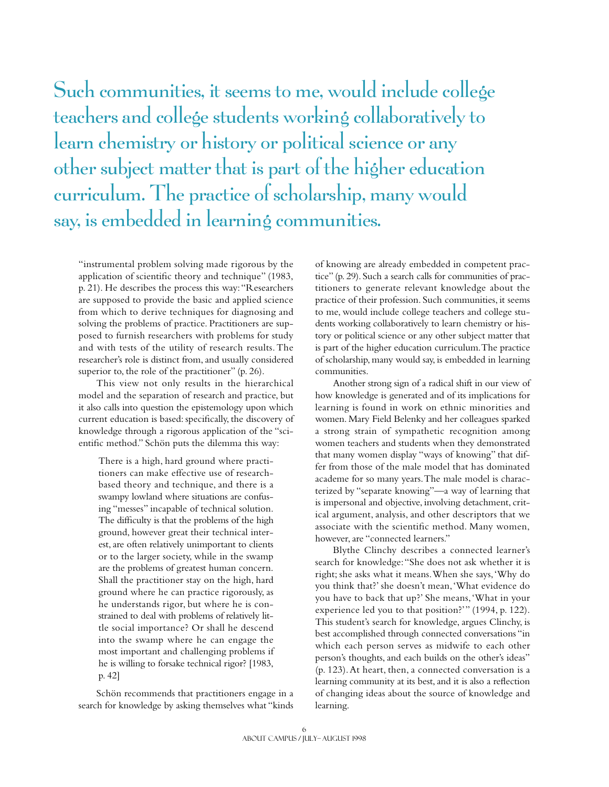Such communities, it seems to me, would include college teachers and college students working collaboratively to learn chemistry or history or political science or any other subject matter that is part of the higher education curriculum. The practice of scholarship, many would say, is embedded in learning communities.

"instrumental problem solving made rigorous by the application of scientific theory and technique" (1983, p. 21). He describes the process this way:"Researchers are supposed to provide the basic and applied science from which to derive techniques for diagnosing and solving the problems of practice. Practitioners are supposed to furnish researchers with problems for study and with tests of the utility of research results. The researcher's role is distinct from, and usually considered superior to, the role of the practitioner" (p. 26).

This view not only results in the hierarchical model and the separation of research and practice, but it also calls into question the epistemology upon which current education is based: specifically, the discovery of knowledge through a rigorous application of the "scientific method." Schön puts the dilemma this way:

There is a high, hard ground where practitioners can make effective use of researchbased theory and technique, and there is a swampy lowland where situations are confusing "messes" incapable of technical solution. The difficulty is that the problems of the high ground, however great their technical interest, are often relatively unimportant to clients or to the larger society, while in the swamp are the problems of greatest human concern. Shall the practitioner stay on the high, hard ground where he can practice rigorously, as he understands rigor, but where he is constrained to deal with problems of relatively little social importance? Or shall he descend into the swamp where he can engage the most important and challenging problems if he is willing to forsake technical rigor? [1983, p. 42]

Schön recommends that practitioners engage in a search for knowledge by asking themselves what "kinds

of knowing are already embedded in competent practice" (p. 29). Such a search calls for communities of practitioners to generate relevant knowledge about the practice of their profession. Such communities, it seems to me, would include college teachers and college students working collaboratively to learn chemistry or history or political science or any other subject matter that is part of the higher education curriculum.The practice of scholarship, many would say, is embedded in learning communities.

Another strong sign of a radical shift in our view of how knowledge is generated and of its implications for learning is found in work on ethnic minorities and women. Mary Field Belenky and her colleagues sparked a strong strain of sympathetic recognition among women teachers and students when they demonstrated that many women display "ways of knowing" that differ from those of the male model that has dominated academe for so many years.The male model is characterized by "separate knowing"—a way of learning that is impersonal and objective, involving detachment, critical argument, analysis, and other descriptors that we associate with the scientific method. Many women, however, are "connected learners."

Blythe Clinchy describes a connected learner's search for knowledge:"She does not ask whether it is right; she asks what it means.When she says,'Why do you think that?' she doesn't mean,'What evidence do you have to back that up?' She means,'What in your experience led you to that position?'" (1994, p. 122). This student's search for knowledge, argues Clinchy, is best accomplished through connected conversations "in which each person serves as midwife to each other person's thoughts, and each builds on the other's ideas" (p. 123).At heart, then, a connected conversation is a learning community at its best, and it is also a reflection of changing ideas about the source of knowledge and learning.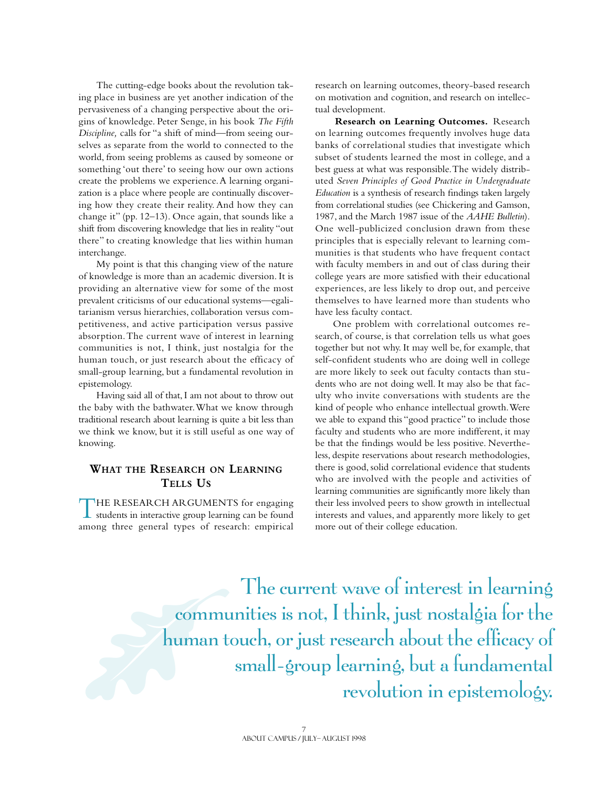The cutting-edge books about the revolution taking place in business are yet another indication of the pervasiveness of a changing perspective about the origins of knowledge. Peter Senge, in his book *The Fifth Discipline,* calls for "a shift of mind—from seeing ourselves as separate from the world to connected to the world, from seeing problems as caused by someone or something 'out there' to seeing how our own actions create the problems we experience.A learning organization is a place where people are continually discovering how they create their reality. And how they can change it" (pp. 12–13). Once again, that sounds like a shift from discovering knowledge that lies in reality "out there" to creating knowledge that lies within human interchange.

My point is that this changing view of the nature of knowledge is more than an academic diversion. It is providing an alternative view for some of the most prevalent criticisms of our educational systems—egalitarianism versus hierarchies, collaboration versus competitiveness, and active participation versus passive absorption.The current wave of interest in learning communities is not, I think, just nostalgia for the human touch, or just research about the efficacy of small-group learning, but a fundamental revolution in epistemology.

Having said all of that, I am not about to throw out the baby with the bathwater.What we know through traditional research about learning is quite a bit less than we think we know, but it is still useful as one way of knowing.

#### **WHAT THE RESEARCH ON LEARNING TELLS US**

THE RESEARCH ARGUMENTS for engaging<br>students in interactive group learning can be found among three general types of research: empirical

research on learning outcomes, theory-based research on motivation and cognition, and research on intellectual development.

**Research on Learning Outcomes.** Research on learning outcomes frequently involves huge data banks of correlational studies that investigate which subset of students learned the most in college, and a best guess at what was responsible.The widely distributed *Seven Principles of Good Practice in Undergraduate Education* is a synthesis of research findings taken largely from correlational studies (see Chickering and Gamson, 1987, and the March 1987 issue of the *AAHE Bulletin*). One well-publicized conclusion drawn from these principles that is especially relevant to learning communities is that students who have frequent contact with faculty members in and out of class during their college years are more satisfied with their educational experiences, are less likely to drop out, and perceive themselves to have learned more than students who have less faculty contact.

One problem with correlational outcomes research, of course, is that correlation tells us what goes together but not why. It may well be, for example, that self-confident students who are doing well in college are more likely to seek out faculty contacts than students who are not doing well. It may also be that faculty who invite conversations with students are the kind of people who enhance intellectual growth.Were we able to expand this "good practice" to include those faculty and students who are more indifferent, it may be that the findings would be less positive. Nevertheless, despite reservations about research methodologies, there is good, solid correlational evidence that students who are involved with the people and activities of learning communities are significantly more likely than their less involved peers to show growth in intellectual interests and values, and apparently more likely to get more out of their college education.

The current wave of interest in learning<br>communities is not, I think, just nostalgia for the<br>human touch, or just research about the efficacy of<br>small-group learning, but a fundamental<br>revolution in epistemology. communities is not, I think, just nostalgia for the human touch, or just research about the efficacy of small-group learning, but a fundamental revolution in epistemology.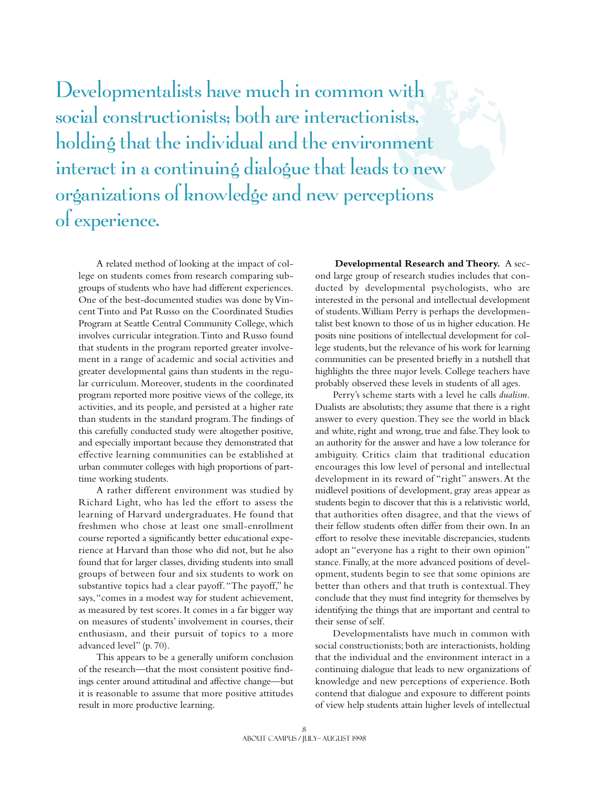with <br>ists, Developmentalists have much in common with social constructionists; both are interactionists, holding that the individual and the environment interact in a continuing dialogue that leads to new organizations of knowledge and new perceptions of experience.

A related method of looking at the impact of college on students comes from research comparing subgroups of students who have had different experiences. One of the best-documented studies was done by Vincent Tinto and Pat Russo on the Coordinated Studies Program at Seattle Central Community College, which involves curricular integration.Tinto and Russo found that students in the program reported greater involvement in a range of academic and social activities and greater developmental gains than students in the regular curriculum. Moreover, students in the coordinated program reported more positive views of the college, its activities, and its people, and persisted at a higher rate than students in the standard program.The findings of this carefully conducted study were altogether positive, and especially important because they demonstrated that effective learning communities can be established at urban commuter colleges with high proportions of parttime working students.

A rather different environment was studied by Richard Light, who has led the effort to assess the learning of Harvard undergraduates. He found that freshmen who chose at least one small-enrollment course reported a significantly better educational experience at Harvard than those who did not, but he also found that for larger classes, dividing students into small groups of between four and six students to work on substantive topics had a clear payoff."The payoff," he says,"comes in a modest way for student achievement, as measured by test scores. It comes in a far bigger way on measures of students' involvement in courses, their enthusiasm, and their pursuit of topics to a more advanced level" (p. 70).

This appears to be a generally uniform conclusion of the research—that the most consistent positive findings center around attitudinal and affective change—but it is reasonable to assume that more positive attitudes result in more productive learning.

**Developmental Research and Theory.** A second large group of research studies includes that conducted by developmental psychologists, who are interested in the personal and intellectual development of students.William Perry is perhaps the developmentalist best known to those of us in higher education. He posits nine positions of intellectual development for college students, but the relevance of his work for learning communities can be presented briefly in a nutshell that highlights the three major levels. College teachers have probably observed these levels in students of all ages.

Perry's scheme starts with a level he calls *dualism.* Dualists are absolutists; they assume that there is a right answer to every question.They see the world in black and white, right and wrong, true and false.They look to an authority for the answer and have a low tolerance for ambiguity. Critics claim that traditional education encourages this low level of personal and intellectual development in its reward of "right" answers. At the midlevel positions of development, gray areas appear as students begin to discover that this is a relativistic world, that authorities often disagree, and that the views of their fellow students often differ from their own. In an effort to resolve these inevitable discrepancies, students adopt an "everyone has a right to their own opinion" stance. Finally, at the more advanced positions of development, students begin to see that some opinions are better than others and that truth is contextual.They conclude that they must find integrity for themselves by identifying the things that are important and central to their sense of self.

Developmentalists have much in common with social constructionists; both are interactionists, holding that the individual and the environment interact in a continuing dialogue that leads to new organizations of knowledge and new perceptions of experience. Both contend that dialogue and exposure to different points of view help students attain higher levels of intellectual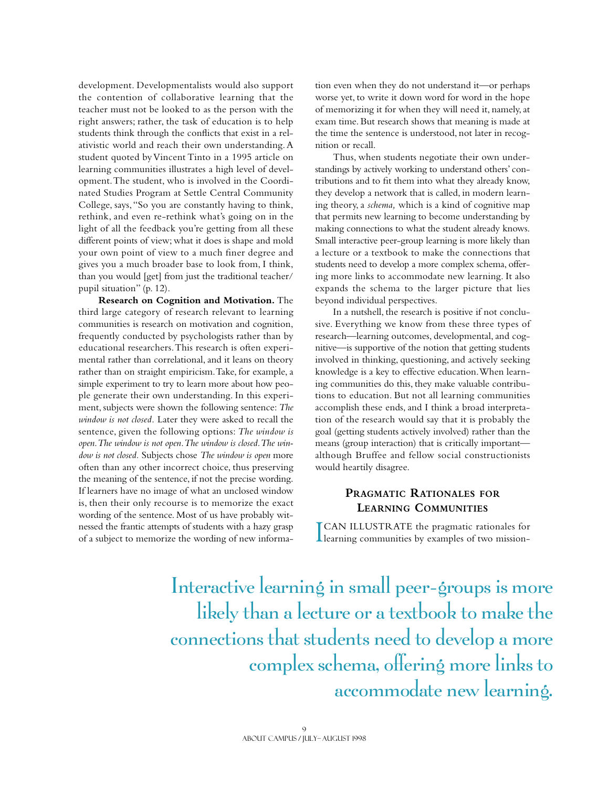development. Developmentalists would also support the contention of collaborative learning that the teacher must not be looked to as the person with the right answers; rather, the task of education is to help students think through the conflicts that exist in a relativistic world and reach their own understanding.A student quoted by Vincent Tinto in a 1995 article on learning communities illustrates a high level of development.The student, who is involved in the Coordinated Studies Program at Settle Central Community College, says,"So you are constantly having to think, rethink, and even re-rethink what's going on in the light of all the feedback you're getting from all these different points of view; what it does is shape and mold your own point of view to a much finer degree and gives you a much broader base to look from, I think, than you would [get] from just the traditional teacher/ pupil situation" (p. 12).

**Research on Cognition and Motivation.** The third large category of research relevant to learning communities is research on motivation and cognition, frequently conducted by psychologists rather than by educational researchers.This research is often experimental rather than correlational, and it leans on theory rather than on straight empiricism.Take, for example, a simple experiment to try to learn more about how people generate their own understanding. In this experiment, subjects were shown the following sentence: *The window is not closed.* Later they were asked to recall the sentence, given the following options: *The window is open.The window is not open.The window is closed.The window is not closed.* Subjects chose *The window is open* more often than any other incorrect choice, thus preserving the meaning of the sentence, if not the precise wording. If learners have no image of what an unclosed window is, then their only recourse is to memorize the exact wording of the sentence. Most of us have probably witnessed the frantic attempts of students with a hazy grasp of a subject to memorize the wording of new informa-

tion even when they do not understand it—or perhaps worse yet, to write it down word for word in the hope of memorizing it for when they will need it, namely, at exam time. But research shows that meaning is made at the time the sentence is understood, not later in recognition or recall.

Thus, when students negotiate their own understandings by actively working to understand others' contributions and to fit them into what they already know, they develop a network that is called, in modern learning theory, a *schema,* which is a kind of cognitive map that permits new learning to become understanding by making connections to what the student already knows. Small interactive peer-group learning is more likely than a lecture or a textbook to make the connections that students need to develop a more complex schema, offering more links to accommodate new learning. It also expands the schema to the larger picture that lies beyond individual perspectives.

In a nutshell, the research is positive if not conclusive. Everything we know from these three types of research—learning outcomes, developmental, and cognitive—is supportive of the notion that getting students involved in thinking, questioning, and actively seeking knowledge is a key to effective education.When learning communities do this, they make valuable contributions to education. But not all learning communities accomplish these ends, and I think a broad interpretation of the research would say that it is probably the goal (getting students actively involved) rather than the means (group interaction) that is critically important although Bruffee and fellow social constructionists would heartily disagree.

#### **PRAGMATIC RATIONALES FOR LEARNING COMMUNITIES**

I learning communities by examples of two mission-CAN ILLUSTRATE the pragmatic rationales for

Interactive learning in small peer-groups is more likely than a lecture or a textbook to make the connections that students need to develop a more complex schema, offering more links to accommodate new learning.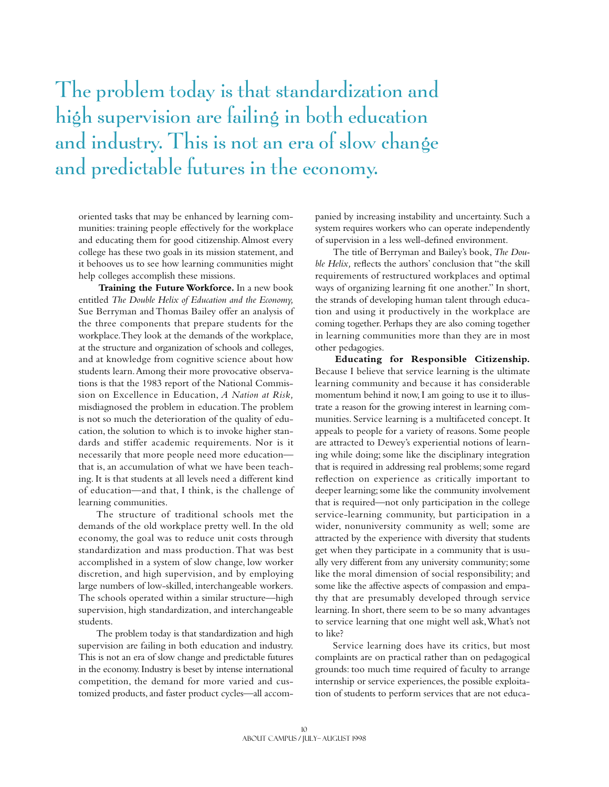## The problem today is that standardization and high supervision are failing in both education and industry. This is not an era of slow change and predictable futures in the economy.

oriented tasks that may be enhanced by learning communities: training people effectively for the workplace and educating them for good citizenship.Almost every college has these two goals in its mission statement, and it behooves us to see how learning communities might help colleges accomplish these missions.

**Training the Future Workforce.** In a new book entitled *The Double Helix of Education and the Economy,* Sue Berryman and Thomas Bailey offer an analysis of the three components that prepare students for the workplace.They look at the demands of the workplace, at the structure and organization of schools and colleges, and at knowledge from cognitive science about how students learn.Among their more provocative observations is that the 1983 report of the National Commission on Excellence in Education, *A Nation at Risk,* misdiagnosed the problem in education.The problem is not so much the deterioration of the quality of education, the solution to which is to invoke higher standards and stiffer academic requirements. Nor is it necessarily that more people need more education that is, an accumulation of what we have been teaching. It is that students at all levels need a different kind of education—and that, I think, is the challenge of learning communities.

The structure of traditional schools met the demands of the old workplace pretty well. In the old economy, the goal was to reduce unit costs through standardization and mass production. That was best accomplished in a system of slow change, low worker discretion, and high supervision, and by employing large numbers of low-skilled, interchangeable workers. The schools operated within a similar structure—high supervision, high standardization, and interchangeable students.

The problem today is that standardization and high supervision are failing in both education and industry. This is not an era of slow change and predictable futures in the economy. Industry is beset by intense international competition, the demand for more varied and customized products, and faster product cycles—all accom-

panied by increasing instability and uncertainty. Such a system requires workers who can operate independently of supervision in a less well-defined environment.

The title of Berryman and Bailey's book,*The Double Helix,* reflects the authors' conclusion that "the skill requirements of restructured workplaces and optimal ways of organizing learning fit one another." In short, the strands of developing human talent through education and using it productively in the workplace are coming together. Perhaps they are also coming together in learning communities more than they are in most other pedagogies.

**Educating for Responsible Citizenship.** Because I believe that service learning is the ultimate learning community and because it has considerable momentum behind it now, I am going to use it to illustrate a reason for the growing interest in learning communities. Service learning is a multifaceted concept. It appeals to people for a variety of reasons. Some people are attracted to Dewey's experiential notions of learning while doing; some like the disciplinary integration that is required in addressing real problems; some regard reflection on experience as critically important to deeper learning; some like the community involvement that is required—not only participation in the college service-learning community, but participation in a wider, nonuniversity community as well; some are attracted by the experience with diversity that students get when they participate in a community that is usually very different from any university community; some like the moral dimension of social responsibility; and some like the affective aspects of compassion and empathy that are presumably developed through service learning. In short, there seem to be so many advantages to service learning that one might well ask,What's not to like?

Service learning does have its critics, but most complaints are on practical rather than on pedagogical grounds: too much time required of faculty to arrange internship or service experiences, the possible exploitation of students to perform services that are not educa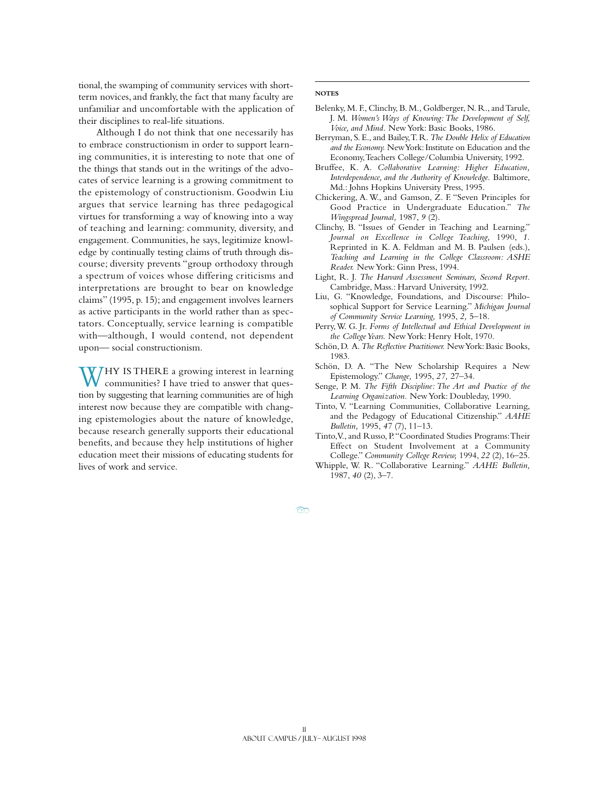tional, the swamping of community services with shortterm novices, and frankly, the fact that many faculty are unfamiliar and uncomfortable with the application of their disciplines to real-life situations.

Although I do not think that one necessarily has to embrace constructionism in order to support learning communities, it is interesting to note that one of the things that stands out in the writings of the advocates of service learning is a growing commitment to the epistemology of constructionism. Goodwin Liu argues that service learning has three pedagogical virtues for transforming a way of knowing into a way of teaching and learning: community, diversity, and engagement. Communities, he says, legitimize knowledge by continually testing claims of truth through discourse; diversity prevents "group orthodoxy through a spectrum of voices whose differing criticisms and interpretations are brought to bear on knowledge claims" (1995, p. 15); and engagement involves learners as active participants in the world rather than as spectators. Conceptually, service learning is compatible with—although, I would contend, not dependent upon— social constructionism.

WHY IS THERE a growing interest in learning communities? I have tried to answer that question by suggesting that learning communities are of high interest now because they are compatible with changing epistemologies about the nature of knowledge, because research generally supports their educational benefits, and because they help institutions of higher education meet their missions of educating students for lives of work and service.

#### **NOTES**

- Belenky, M. F., Clinchy, B. M., Goldberger, N. R., and Tarule, J. M. *Women's Ways of Knowing: The Development of Self, Voice, and Mind.* New York: Basic Books, 1986.
- Berryman, S. E., and Bailey,T. R.*The Double Helix of Education* and the Economy. New York: Institute on Education and the Economy,Teachers College/Columbia University, 1992.
- Bruffee, K. A. *Collaborative Learning: Higher Education, Interdependence, and the Authority of Knowledge.* Baltimore, Md.: Johns Hopkins University Press, 1995.
- Chickering, A. W., and Gamson, Z. F. "Seven Principles for Good Practice in Undergraduate Education." *The Wingspread Journal,* 1987, *9* (2).
- Clinchy, B. "Issues of Gender in Teaching and Learning." *Journal on Excellence in College Teaching,* 1990, *1.* Reprinted in K. A. Feldman and M. B. Paulsen (eds.), *Teaching and Learning in the College Classroom: ASHE Reader.* New York: Ginn Press, 1994.
- Light, R. J. *The Harvard Assessment Seminars, Second Report.* Cambridge, Mass.: Harvard University, 1992.
- Liu, G. "Knowledge, Foundations, and Discourse: Philosophical Support for Service Learning." *Michigan Journal of Community Service Learning,* 1995, *2,* 5–18.
- Perry,W. G. Jr. *Forms of Intellectual and Ethical Development in the College Years.* New York: Henry Holt, 1970.
- Schön,D. A.*The Reflective Practitioner.* New York: Basic Books, 1983.
- Schön, D. A. "The New Scholarship Requires a New Epistemology." *Change,* 1995, *27,* 27–34.
- Senge, P. M. *The Fifth Discipline: The Art and Practice of the Learning Organization.* New York: Doubleday, 1990.
- Tinto, V. "Learning Communities, Collaborative Learning, and the Pedagogy of Educational Citizenship." *AAHE Bulletin,* 1995, *47* (7), 11–13.
- Tinto,V., and Russo, P."Coordinated Studies Programs:Their Effect on Student Involvement at a Community College." *Community College Review,* 1994, *22* (2), 16–25.
- Whipple, W. R. "Collaborative Learning." *AAHE Bulletin,* 1987, *40* (2), 3–7.

 $\infty$